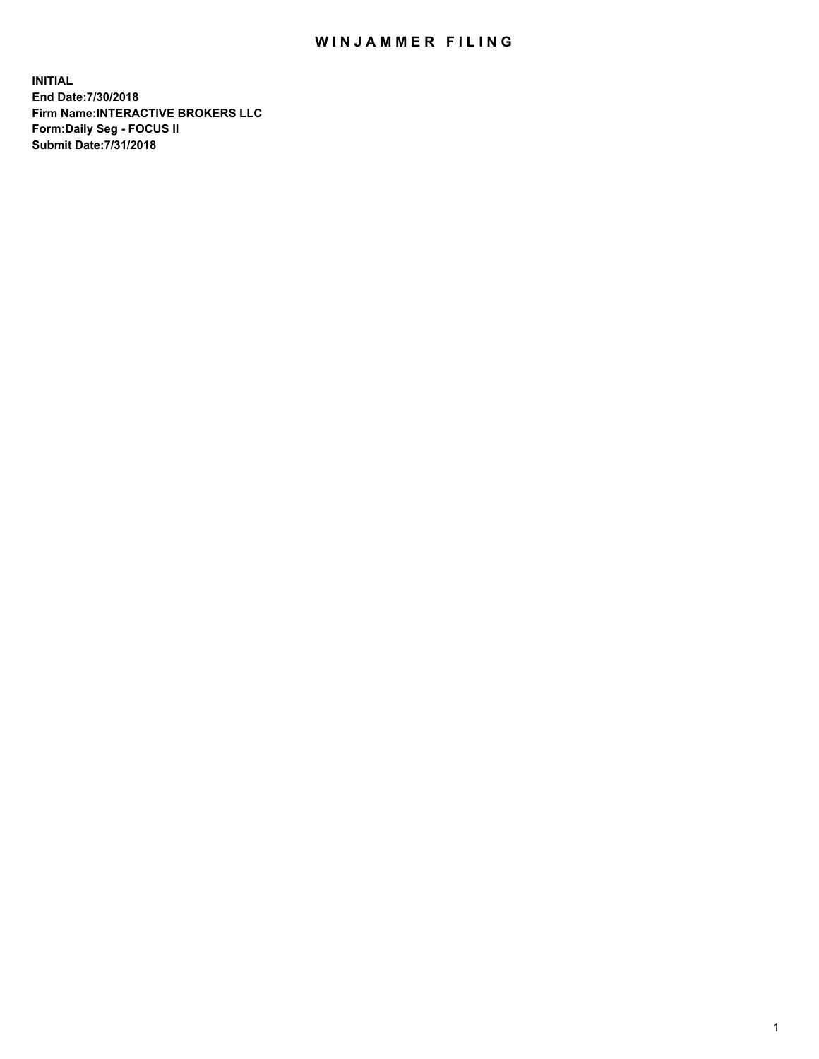## WIN JAMMER FILING

**INITIAL End Date:7/30/2018 Firm Name:INTERACTIVE BROKERS LLC Form:Daily Seg - FOCUS II Submit Date:7/31/2018**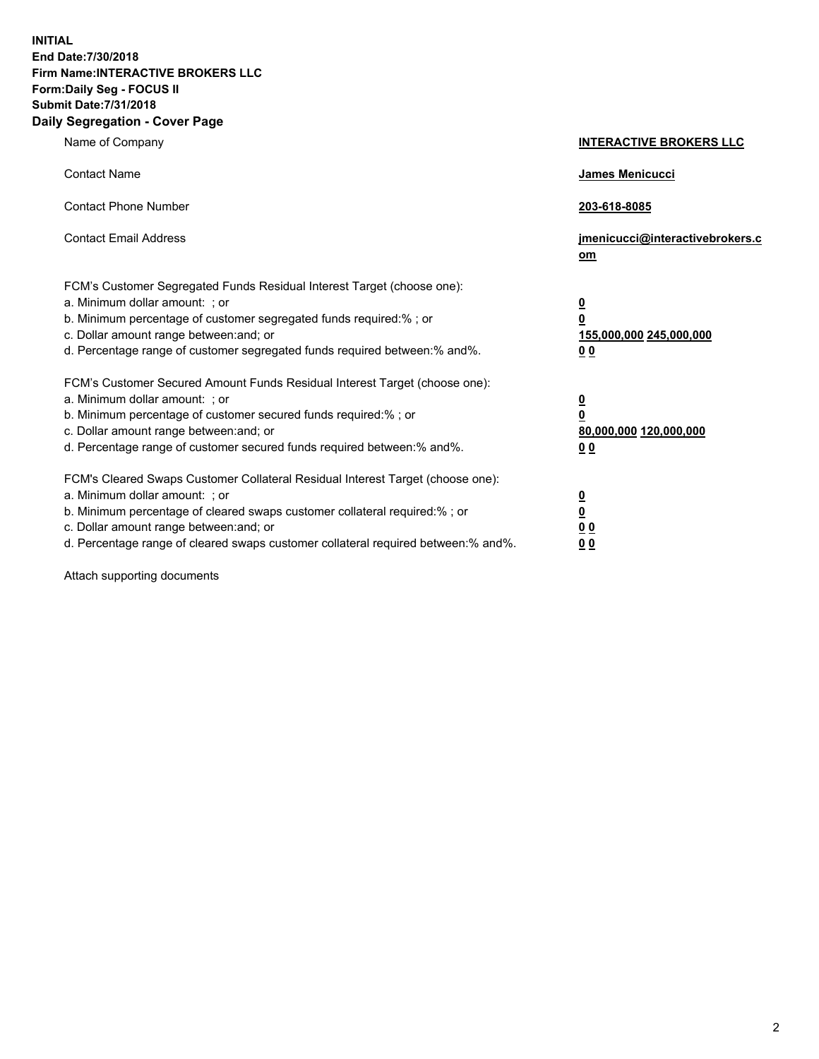**INITIAL End Date:7/30/2018 Firm Name:INTERACTIVE BROKERS LLC Form:Daily Seg - FOCUS II Submit Date:7/31/2018 Daily Segregation - Cover Page**

| Name of Company                                                                                                                                                                                                                                                                                                                | <b>INTERACTIVE BROKERS LLC</b>                                                  |
|--------------------------------------------------------------------------------------------------------------------------------------------------------------------------------------------------------------------------------------------------------------------------------------------------------------------------------|---------------------------------------------------------------------------------|
| <b>Contact Name</b>                                                                                                                                                                                                                                                                                                            | James Menicucci                                                                 |
| <b>Contact Phone Number</b>                                                                                                                                                                                                                                                                                                    | 203-618-8085                                                                    |
| <b>Contact Email Address</b>                                                                                                                                                                                                                                                                                                   | jmenicucci@interactivebrokers.c<br>om                                           |
| FCM's Customer Segregated Funds Residual Interest Target (choose one):<br>a. Minimum dollar amount: ; or<br>b. Minimum percentage of customer segregated funds required:% ; or<br>c. Dollar amount range between: and; or<br>d. Percentage range of customer segregated funds required between: % and %.                       | $\overline{\mathbf{0}}$<br>0<br>155,000,000 245,000,000<br>0 <sub>0</sub>       |
| FCM's Customer Secured Amount Funds Residual Interest Target (choose one):<br>a. Minimum dollar amount: ; or<br>b. Minimum percentage of customer secured funds required:%; or<br>c. Dollar amount range between: and; or<br>d. Percentage range of customer secured funds required between:% and%.                            | <u>0</u><br>$\overline{\mathbf{0}}$<br>80,000,000 120,000,000<br>0 <sub>0</sub> |
| FCM's Cleared Swaps Customer Collateral Residual Interest Target (choose one):<br>a. Minimum dollar amount: ; or<br>b. Minimum percentage of cleared swaps customer collateral required:% ; or<br>c. Dollar amount range between: and; or<br>d. Percentage range of cleared swaps customer collateral required between:% and%. | $\frac{0}{0}$<br>$\underline{0}$ $\underline{0}$<br>0 <sub>0</sub>              |

Attach supporting documents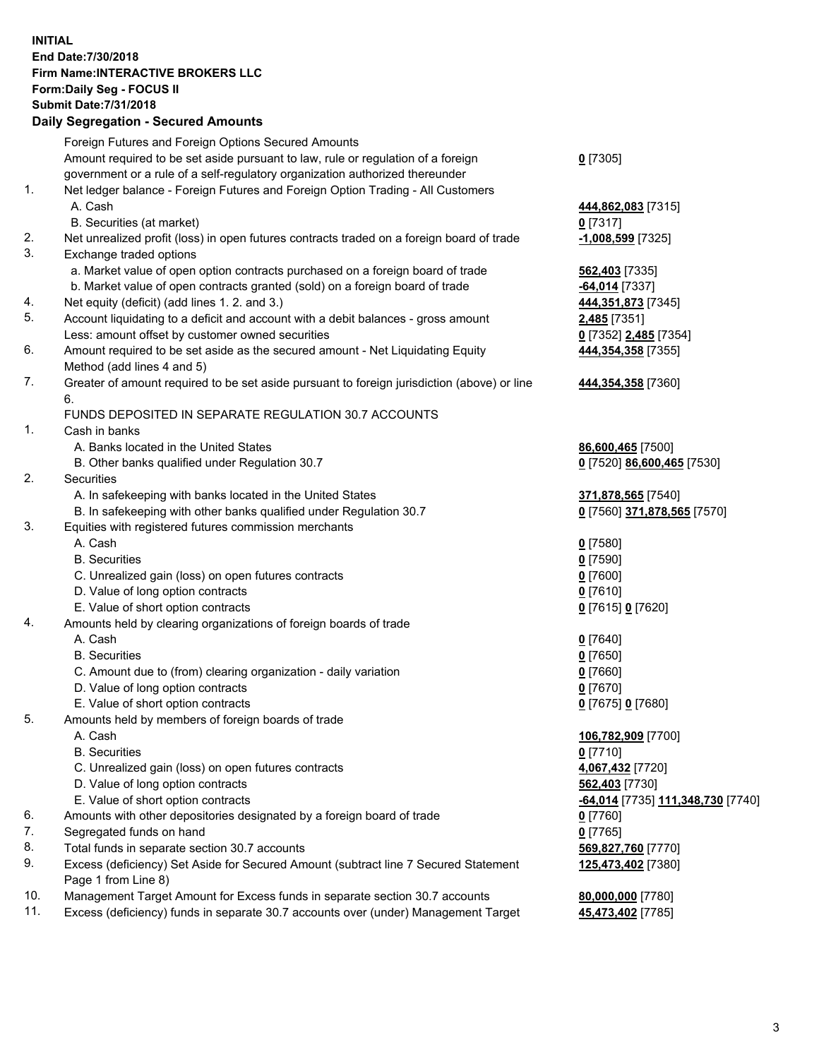## **INITIAL End Date:7/30/2018 Firm Name:INTERACTIVE BROKERS LLC Form:Daily Seg - FOCUS II Submit Date:7/31/2018 Daily Segregation - Secured Amounts**

|                | Daily Ocglegation - Occarea Anioants                                                               |                                                |
|----------------|----------------------------------------------------------------------------------------------------|------------------------------------------------|
|                | Foreign Futures and Foreign Options Secured Amounts                                                |                                                |
|                | Amount required to be set aside pursuant to law, rule or regulation of a foreign                   | $0$ [7305]                                     |
|                | government or a rule of a self-regulatory organization authorized thereunder                       |                                                |
| $\mathbf{1}$ . | Net ledger balance - Foreign Futures and Foreign Option Trading - All Customers                    |                                                |
|                | A. Cash                                                                                            | 444,862,083 [7315]                             |
|                | B. Securities (at market)                                                                          | $0$ [7317]                                     |
| 2.             | Net unrealized profit (loss) in open futures contracts traded on a foreign board of trade          | $-1,008,599$ [7325]                            |
| 3.             | Exchange traded options                                                                            |                                                |
|                | a. Market value of open option contracts purchased on a foreign board of trade                     | 562,403 [7335]                                 |
|                | b. Market value of open contracts granted (sold) on a foreign board of trade                       | -64,014 [7337]                                 |
| 4.             | Net equity (deficit) (add lines 1. 2. and 3.)                                                      | 444,351,873 [7345]                             |
| 5.             | Account liquidating to a deficit and account with a debit balances - gross amount                  | 2,485 [7351]                                   |
|                | Less: amount offset by customer owned securities                                                   | 0 [7352] 2,485 [7354]                          |
| 6.             | Amount required to be set aside as the secured amount - Net Liquidating Equity                     | 444,354,358 [7355]                             |
|                | Method (add lines 4 and 5)                                                                         |                                                |
| 7.             | Greater of amount required to be set aside pursuant to foreign jurisdiction (above) or line        | 444,354,358 [7360]                             |
|                | 6.                                                                                                 |                                                |
|                | FUNDS DEPOSITED IN SEPARATE REGULATION 30.7 ACCOUNTS                                               |                                                |
| 1.             | Cash in banks                                                                                      |                                                |
|                | A. Banks located in the United States                                                              | 86,600,465 [7500]                              |
|                | B. Other banks qualified under Regulation 30.7                                                     | 0 [7520] 86,600,465 [7530]                     |
| 2.             | Securities                                                                                         |                                                |
|                | A. In safekeeping with banks located in the United States                                          | 371,878,565 [7540]                             |
|                | B. In safekeeping with other banks qualified under Regulation 30.7                                 | 0 [7560] 371,878,565 [7570]                    |
| 3.             | Equities with registered futures commission merchants                                              |                                                |
|                | A. Cash                                                                                            | $0$ [7580]                                     |
|                | <b>B.</b> Securities                                                                               | $0$ [7590]                                     |
|                | C. Unrealized gain (loss) on open futures contracts                                                | $0$ [7600]                                     |
|                | D. Value of long option contracts                                                                  | $0$ [7610]                                     |
|                | E. Value of short option contracts                                                                 | 0 [7615] 0 [7620]                              |
| 4.             | Amounts held by clearing organizations of foreign boards of trade                                  |                                                |
|                | A. Cash                                                                                            | $Q$ [7640]                                     |
|                | <b>B.</b> Securities                                                                               | $0$ [7650]                                     |
|                | C. Amount due to (from) clearing organization - daily variation                                    | $0$ [7660]                                     |
|                | D. Value of long option contracts                                                                  | $0$ [7670]                                     |
|                | E. Value of short option contracts                                                                 | 0 [7675] 0 [7680]                              |
| 5.             | Amounts held by members of foreign boards of trade                                                 |                                                |
|                | A. Cash                                                                                            | 106,782,909 [7700]                             |
|                | <b>B.</b> Securities                                                                               | $0$ [7710]                                     |
|                | C. Unrealized gain (loss) on open futures contracts                                                | 4,067,432 [7720]                               |
|                | D. Value of long option contracts                                                                  | 562,403 [7730]                                 |
|                | E. Value of short option contracts                                                                 | <mark>-64,014</mark> [7735] 111,348,730 [7740] |
| 6.             | Amounts with other depositories designated by a foreign board of trade                             | 0 [7760]                                       |
| 7.             | Segregated funds on hand                                                                           | $0$ [7765]                                     |
| 8.             | Total funds in separate section 30.7 accounts                                                      | 569,827,760 [7770]                             |
| 9.             | Excess (deficiency) Set Aside for Secured Amount (subtract line 7 Secured Statement                | 125,473,402 [7380]                             |
| 10.            | Page 1 from Line 8)<br>Management Target Amount for Excess funds in separate section 30.7 accounts |                                                |
| 11.            |                                                                                                    | 80,000,000 [7780]                              |
|                | Excess (deficiency) funds in separate 30.7 accounts over (under) Management Target                 | 45,473,402 [7785]                              |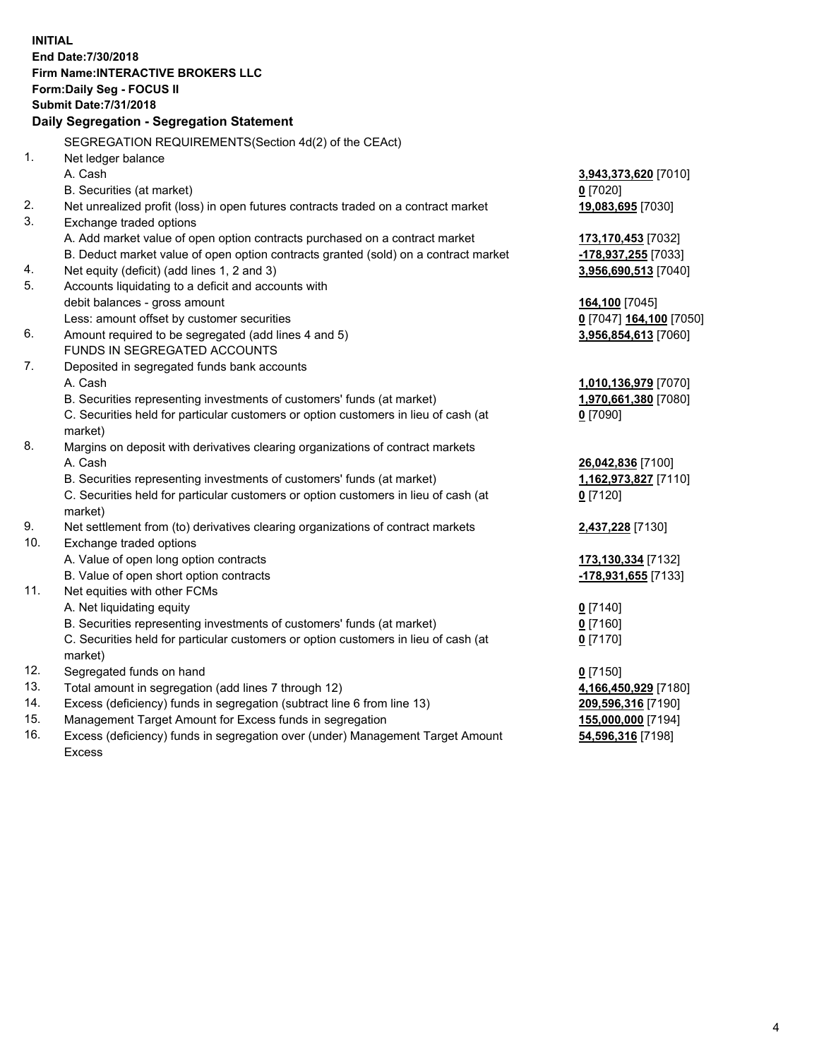**INITIAL End Date:7/30/2018 Firm Name:INTERACTIVE BROKERS LLC Form:Daily Seg - FOCUS II Submit Date:7/31/2018 Daily Segregation - Segregation Statement** SEGREGATION REQUIREMENTS(Section 4d(2) of the CEAct) 1. Net ledger balance A. Cash **3,943,373,620** [7010] B. Securities (at market) **0** [7020] 2. Net unrealized profit (loss) in open futures contracts traded on a contract market **19,083,695** [7030] 3. Exchange traded options A. Add market value of open option contracts purchased on a contract market **173,170,453** [7032] B. Deduct market value of open option contracts granted (sold) on a contract market **-178,937,255** [7033] 4. Net equity (deficit) (add lines 1, 2 and 3) **3,956,690,513** [7040] 5. Accounts liquidating to a deficit and accounts with debit balances - gross amount **164,100** [7045] Less: amount offset by customer securities **0** [7047] **164,100** [7050] 6. Amount required to be segregated (add lines 4 and 5) **3,956,854,613** [7060] FUNDS IN SEGREGATED ACCOUNTS 7. Deposited in segregated funds bank accounts A. Cash **1,010,136,979** [7070] B. Securities representing investments of customers' funds (at market) **1,970,661,380** [7080] C. Securities held for particular customers or option customers in lieu of cash (at market) **0** [7090] 8. Margins on deposit with derivatives clearing organizations of contract markets A. Cash **26,042,836** [7100] B. Securities representing investments of customers' funds (at market) **1,162,973,827** [7110] C. Securities held for particular customers or option customers in lieu of cash (at market) **0** [7120] 9. Net settlement from (to) derivatives clearing organizations of contract markets **2,437,228** [7130] 10. Exchange traded options A. Value of open long option contracts **173,130,334** [7132] B. Value of open short option contracts **-178,931,655** [7133] 11. Net equities with other FCMs A. Net liquidating equity **0** [7140] B. Securities representing investments of customers' funds (at market) **0** [7160] C. Securities held for particular customers or option customers in lieu of cash (at market) **0** [7170] 12. Segregated funds on hand **0** [7150] 13. Total amount in segregation (add lines 7 through 12) **4,166,450,929** [7180] 14. Excess (deficiency) funds in segregation (subtract line 6 from line 13) **209,596,316** [7190] 15. Management Target Amount for Excess funds in segregation **155,000,000** [7194] **54,596,316** [7198]

16. Excess (deficiency) funds in segregation over (under) Management Target Amount Excess